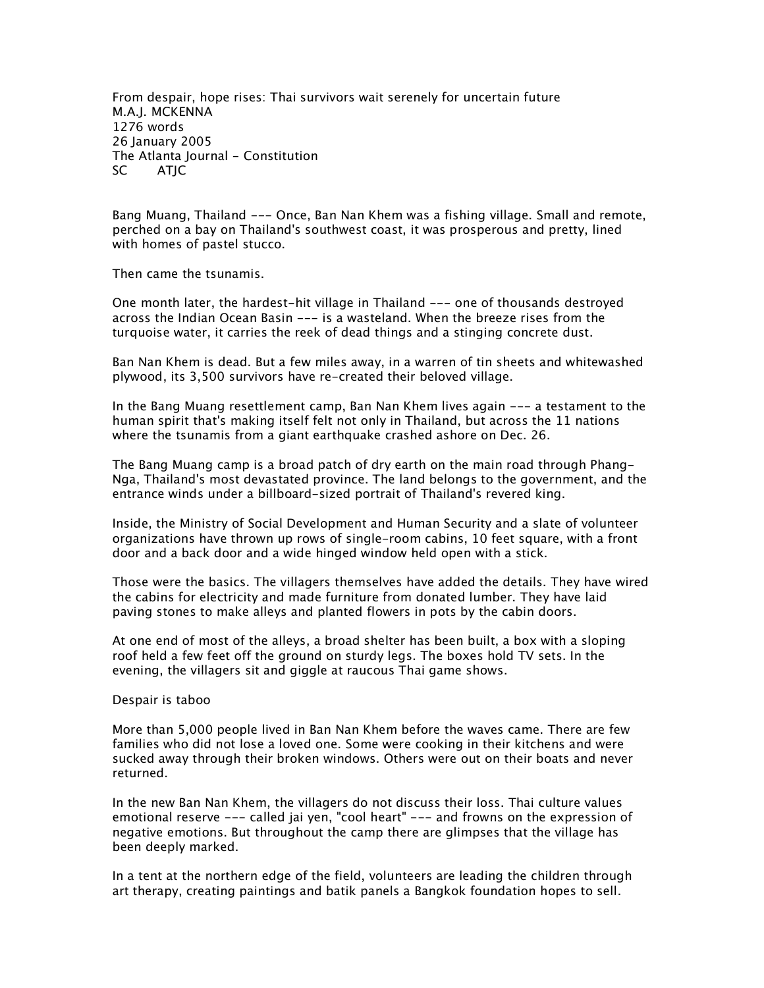*From despair, hope rises: Thai survivors wait serenely for uncertain future M.A.J. MCKENNA 1276 words 26 January 2005 The Atlanta Journal - Constitution SC ATJC*

*Bang Muang, Thailand --- Once, Ban Nan Khem was a fishing village. Small and remote, perched on a bay on Thailand's southwest coast, it was prosperous and pretty, lined with homes of pastel stucco.*

*Then came the tsunamis.*

*One month later, the hardest-hit village in Thailand --- one of thousands destroyed across the Indian Ocean Basin --- is a wasteland. When the breeze rises from the turquoise water, it carries the reek of dead things and a stinging concrete dust.*

*Ban Nan Khem is dead. But a few miles away, in a warren of tin sheets and whitewashed plywood, its 3,500 survivors have re-created their beloved village.*

*In the Bang Muang resettlement camp, Ban Nan Khem lives again --- a testament to the human spirit that's making itself felt not only in Thailand, but across the 11 nations where the tsunamis from a giant earthquake crashed ashore on Dec. 26.*

*The Bang Muang camp is a broad patch of dry earth on the main road through Phang-Nga, Thailand's most devastated province. The land belongs to the government, and the entrance winds under a billboard-sized portrait of Thailand's revered king.*

*Inside, the Ministry of Social Development and Human Security and a slate of volunteer organizations have thrown up rows of single-room cabins, 10 feet square, with a front door and a back door and a wide hinged window held open with a stick.*

*Those were the basics. The villagers themselves have added the details. They have wired the cabins for electricity and made furniture from donated lumber. They have laid paving stones to make alleys and planted flowers in pots by the cabin doors.*

*At one end of most of the alleys, a broad shelter has been built, a box with a sloping*  roof held a few feet off the ground on sturdy legs. The boxes hold TV sets. In the *evening, the villagers sit and giggle at raucous Thai game shows.*

## *Despair is taboo*

*More than 5,000 people lived in Ban Nan Khem before the waves came. There are few families who did not lose a loved one. Some were cooking in their kitchens and were sucked away through their broken windows. Others were out on their boats and never returned.*

*In the new Ban Nan Khem, the villagers do not discuss their loss. Thai culture values emotional reserve --- called jai yen, "cool heart" --- and frowns on the expression of negative emotions. But throughout the camp there are glimpses that the village has been deeply marked.*

*In a tent at the northern edge of the field, volunteers are leading the children through art therapy, creating paintings and batik panels a Bangkok foundation hopes to sell.*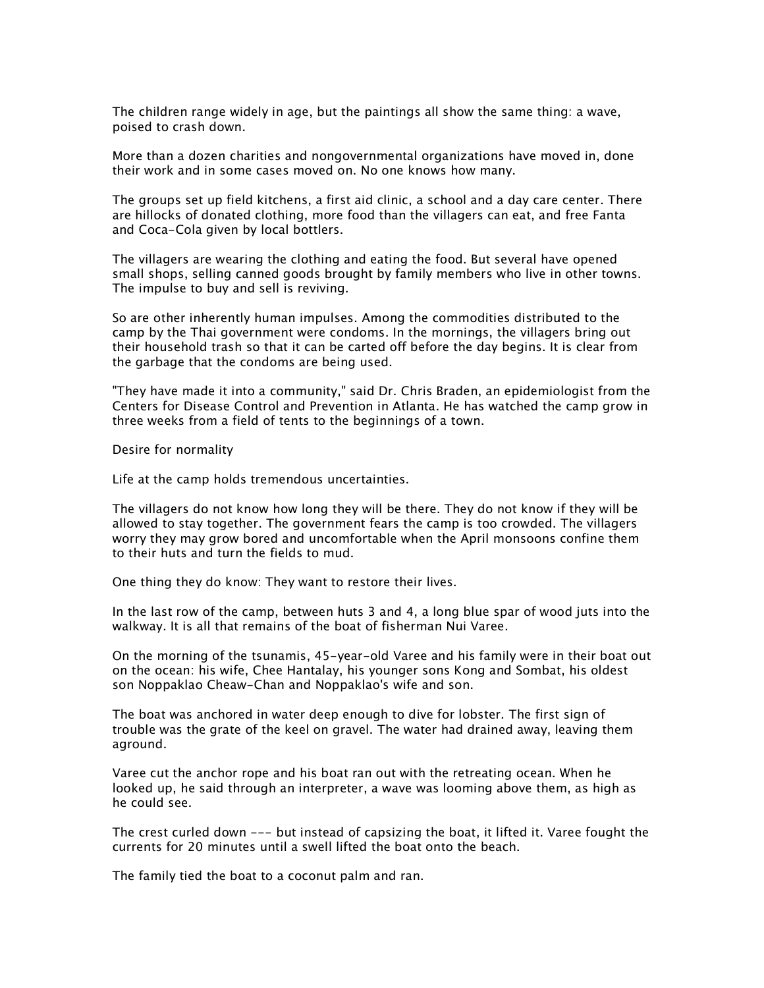*The children range widely in age, but the paintings all show the same thing: a wave, poised to crash down.*

*More than a dozen charities and nongovernmental organizations have moved in, done their work and in some cases moved on. No one knows how many.*

*The groups set up field kitchens, a first aid clinic, a school and a day care center. There are hillocks of donated clothing, more food than the villagers can eat, and free Fanta and Coca-Cola given by local bottlers.*

*The villagers are wearing the clothing and eating the food. But several have opened small shops, selling canned goods brought by family members who live in other towns. The impulse to buy and sell is reviving.*

*So are other inherently human impulses. Among the commodities distributed to the camp by the Thai government were condoms. In the mornings, the villagers bring out their household trash so that it can be carted off before the day begins. It is clear from the garbage that the condoms are being used.*

*"They have made it into a community," said Dr. Chris Braden, an epidemiologist from the Centers for Disease Control and Prevention in Atlanta. He has watched the camp grow in three weeks from a field of tents to the beginnings of a town.*

*Desire for normality*

*Life at the camp holds tremendous uncertainties.*

*The villagers do not know how long they will be there. They do not know if they will be allowed to stay together. The government fears the camp is too crowded. The villagers worry they may grow bored and uncomfortable when the April monsoons confine them to their huts and turn the fields to mud.*

*One thing they do know: They want to restore their lives.*

In the last row of the camp, between huts 3 and 4, a long blue spar of wood juts into the *walkway. It is all that remains of the boat of fisherman Nui Varee.*

*On the morning of the tsunamis, 45-year-old Varee and his family were in their boat out on the ocean: his wife, Chee Hantalay, his younger sons Kong and Sombat, his oldest son Noppaklao Cheaw-Chan and Noppaklao's wife and son.*

*The boat was anchored in water deep enough to dive for lobster. The first sign of trouble was the grate of the keel on gravel. The water had drained away, leaving them aground.*

*Varee cut the anchor rope and his boat ran out with the retreating ocean. When he looked up, he said through an interpreter, a wave was looming above them, as high as he could see.*

*The crest curled down --- but instead of capsizing the boat, it lifted it. Varee fought the currents for 20 minutes until a swell lifted the boat onto the beach.*

*The family tied the boat to a coconut palm and ran.*